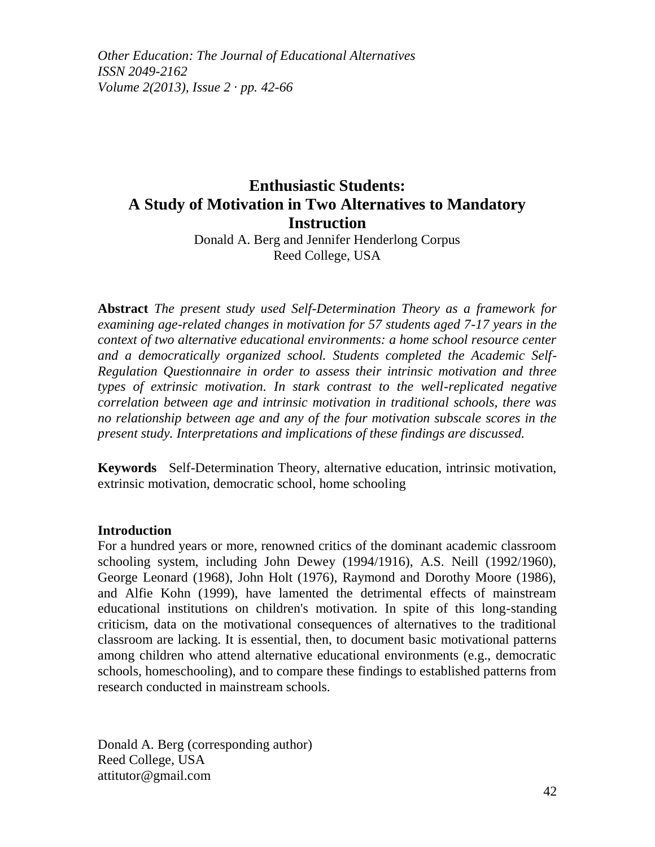*Other Education: The Journal of Educational Alternatives ISSN 2049-2162 Volume 2(2013), Issue 2 · pp. 42-66*

# **Enthusiastic Students: A Study of Motivation in Two Alternatives to Mandatory Instruction**

Donald A. Berg and Jennifer Henderlong Corpus Reed College, USA

**Abstract** *The present study used Self-Determination Theory as a framework for examining age-related changes in motivation for 57 students aged 7-17 years in the context of two alternative educational environments: a home school resource center and a democratically organized school. Students completed the Academic Self-Regulation Questionnaire in order to assess their intrinsic motivation and three types of extrinsic motivation. In stark contrast to the well-replicated negative correlation between age and intrinsic motivation in traditional schools, there was no relationship between age and any of the four motivation subscale scores in the present study. Interpretations and implications of these findings are discussed.*

**Keywords** Self-Determination Theory, alternative education, intrinsic motivation, extrinsic motivation, democratic school, home schooling

#### **Introduction**

For a hundred years or more, renowned critics of the dominant academic classroom schooling system, including John Dewey (1994/1916), A.S. Neill (1992/1960), George Leonard (1968), John Holt (1976), Raymond and Dorothy Moore (1986), and Alfie Kohn (1999), have lamented the detrimental effects of mainstream educational institutions on children's motivation. In spite of this long-standing criticism, data on the motivational consequences of alternatives to the traditional classroom are lacking. It is essential, then, to document basic motivational patterns among children who attend alternative educational environments (e.g., democratic schools, homeschooling), and to compare these findings to established patterns from research conducted in mainstream schools.

Donald A. Berg (corresponding author) Reed College, USA attitutor@gmail.com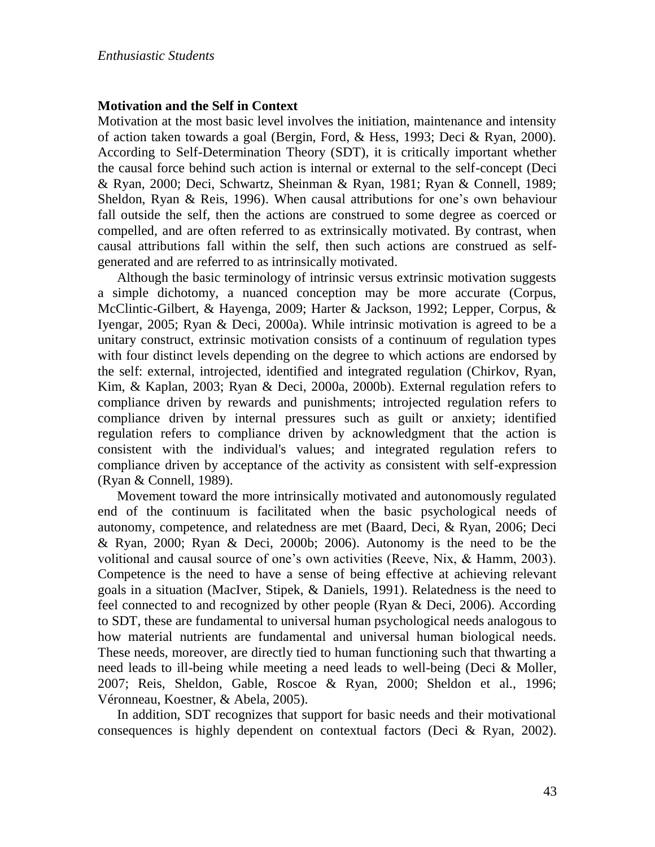#### **Motivation and the Self in Context**

Motivation at the most basic level involves the initiation, maintenance and intensity of action taken towards a goal (Bergin, Ford, & Hess, 1993; Deci & Ryan, 2000). According to Self-Determination Theory (SDT), it is critically important whether the causal force behind such action is internal or external to the self-concept (Deci & Ryan, 2000; Deci, Schwartz, Sheinman & Ryan, 1981; Ryan & Connell, 1989; Sheldon, Ryan & Reis, 1996). When causal attributions for one's own behaviour fall outside the self, then the actions are construed to some degree as coerced or compelled, and are often referred to as extrinsically motivated. By contrast, when causal attributions fall within the self, then such actions are construed as selfgenerated and are referred to as intrinsically motivated.

Although the basic terminology of intrinsic versus extrinsic motivation suggests a simple dichotomy, a nuanced conception may be more accurate (Corpus, McClintic-Gilbert, & Hayenga, 2009; Harter & Jackson, 1992; Lepper, Corpus, & Iyengar, 2005; Ryan & Deci, 2000a). While intrinsic motivation is agreed to be a unitary construct, extrinsic motivation consists of a continuum of regulation types with four distinct levels depending on the degree to which actions are endorsed by the self: external, introjected, identified and integrated regulation (Chirkov, Ryan, Kim, & Kaplan, 2003; Ryan & Deci, 2000a, 2000b). External regulation refers to compliance driven by rewards and punishments; introjected regulation refers to compliance driven by internal pressures such as guilt or anxiety; identified regulation refers to compliance driven by acknowledgment that the action is consistent with the individual's values; and integrated regulation refers to compliance driven by acceptance of the activity as consistent with self-expression (Ryan & Connell, 1989).

Movement toward the more intrinsically motivated and autonomously regulated end of the continuum is facilitated when the basic psychological needs of autonomy, competence, and relatedness are met (Baard, Deci, & Ryan, 2006; Deci & Ryan, 2000; Ryan & Deci, 2000b; 2006). Autonomy is the need to be the volitional and causal source of one's own activities (Reeve, Nix, & Hamm, 2003). Competence is the need to have a sense of being effective at achieving relevant goals in a situation (MacIver, Stipek, & Daniels, 1991). Relatedness is the need to feel connected to and recognized by other people (Ryan & Deci, 2006). According to SDT, these are fundamental to universal human psychological needs analogous to how material nutrients are fundamental and universal human biological needs. These needs, moreover, are directly tied to human functioning such that thwarting a need leads to ill-being while meeting a need leads to well-being (Deci & Moller, 2007; Reis, Sheldon, Gable, Roscoe & Ryan, 2000; Sheldon et al., 1996; Véronneau, Koestner, & Abela, 2005).

In addition, SDT recognizes that support for basic needs and their motivational consequences is highly dependent on contextual factors (Deci & Ryan, 2002).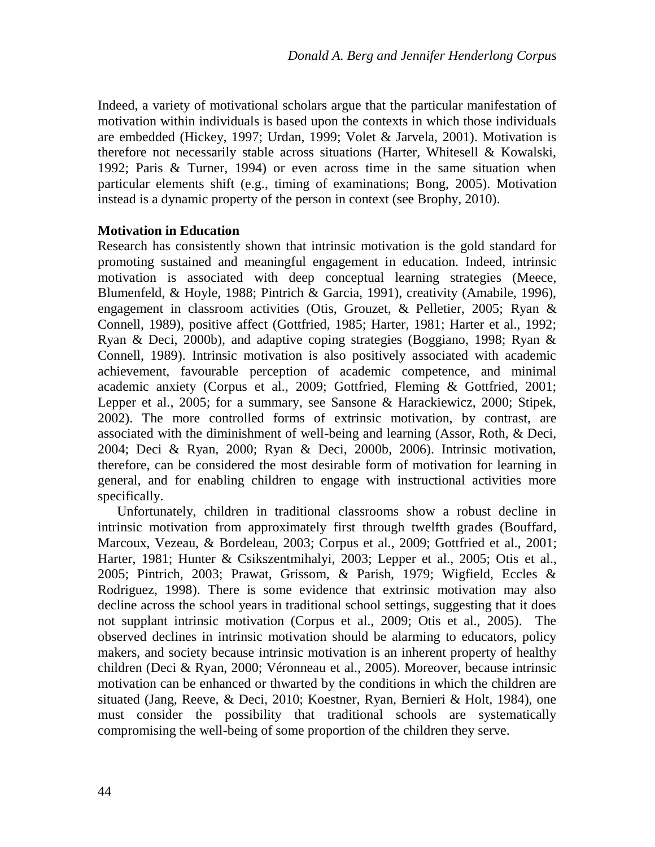Indeed, a variety of motivational scholars argue that the particular manifestation of motivation within individuals is based upon the contexts in which those individuals are embedded (Hickey, 1997; Urdan, 1999; Volet & Jarvela, 2001). Motivation is therefore not necessarily stable across situations (Harter, Whitesell & Kowalski, 1992; Paris & Turner, 1994) or even across time in the same situation when particular elements shift (e.g., timing of examinations; Bong, 2005). Motivation instead is a dynamic property of the person in context (see Brophy, 2010).

## **Motivation in Education**

Research has consistently shown that intrinsic motivation is the gold standard for promoting sustained and meaningful engagement in education. Indeed, intrinsic motivation is associated with deep conceptual learning strategies (Meece, Blumenfeld, & Hoyle, 1988; Pintrich & Garcia, 1991), creativity (Amabile, 1996), engagement in classroom activities (Otis, Grouzet, & Pelletier, 2005; Ryan & Connell, 1989), positive affect (Gottfried, 1985; Harter, 1981; Harter et al., 1992; Ryan & Deci, 2000b), and adaptive coping strategies (Boggiano, 1998; Ryan & Connell, 1989). Intrinsic motivation is also positively associated with academic achievement, favourable perception of academic competence, and minimal academic anxiety (Corpus et al., 2009; Gottfried, Fleming & Gottfried, 2001; Lepper et al., 2005; for a summary, see Sansone & Harackiewicz, 2000; Stipek, 2002). The more controlled forms of extrinsic motivation, by contrast, are associated with the diminishment of well-being and learning (Assor, Roth, & Deci, 2004; Deci & Ryan, 2000; Ryan & Deci, 2000b, 2006). Intrinsic motivation, therefore, can be considered the most desirable form of motivation for learning in general, and for enabling children to engage with instructional activities more specifically.

Unfortunately, children in traditional classrooms show a robust decline in intrinsic motivation from approximately first through twelfth grades (Bouffard, Marcoux, Vezeau, & Bordeleau, 2003; Corpus et al., 2009; Gottfried et al., 2001; Harter, 1981; Hunter & Csikszentmihalyi, 2003; Lepper et al., 2005; Otis et al., 2005; Pintrich, 2003; Prawat, Grissom, & Parish, 1979; Wigfield, Eccles & Rodriguez, 1998). There is some evidence that extrinsic motivation may also decline across the school years in traditional school settings, suggesting that it does not supplant intrinsic motivation (Corpus et al., 2009; Otis et al., 2005). The observed declines in intrinsic motivation should be alarming to educators, policy makers, and society because intrinsic motivation is an inherent property of healthy children (Deci & Ryan, 2000; Véronneau et al., 2005). Moreover, because intrinsic motivation can be enhanced or thwarted by the conditions in which the children are situated (Jang, Reeve, & Deci, 2010; Koestner, Ryan, Bernieri & Holt, 1984), one must consider the possibility that traditional schools are systematically compromising the well-being of some proportion of the children they serve.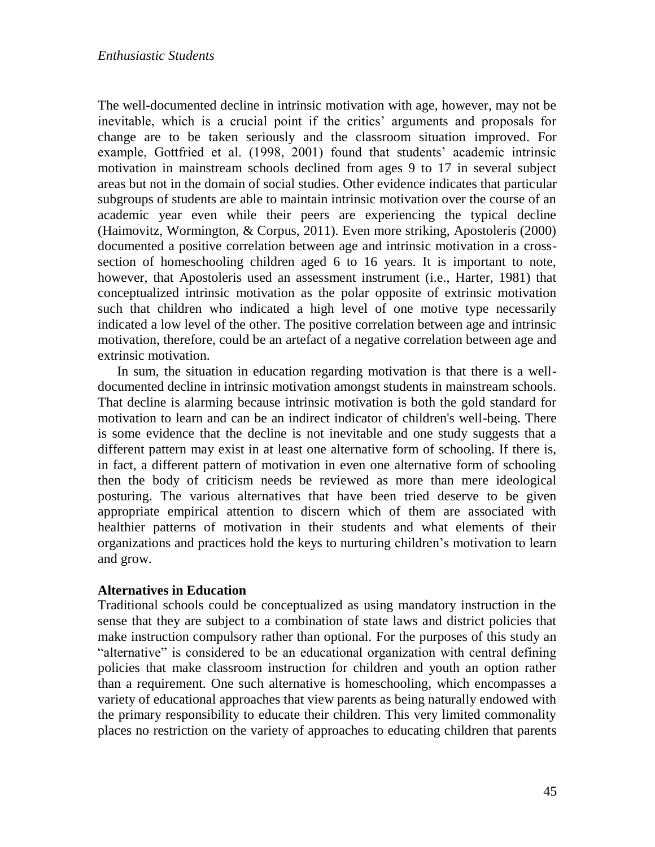The well-documented decline in intrinsic motivation with age, however, may not be inevitable, which is a crucial point if the critics' arguments and proposals for change are to be taken seriously and the classroom situation improved. For example, Gottfried et al. (1998, 2001) found that students' academic intrinsic motivation in mainstream schools declined from ages 9 to 17 in several subject areas but not in the domain of social studies. Other evidence indicates that particular subgroups of students are able to maintain intrinsic motivation over the course of an academic year even while their peers are experiencing the typical decline (Haimovitz, Wormington, & Corpus, 2011). Even more striking, Apostoleris (2000) documented a positive correlation between age and intrinsic motivation in a crosssection of homeschooling children aged 6 to 16 years. It is important to note, however, that Apostoleris used an assessment instrument (i.e., Harter, 1981) that conceptualized intrinsic motivation as the polar opposite of extrinsic motivation such that children who indicated a high level of one motive type necessarily indicated a low level of the other. The positive correlation between age and intrinsic motivation, therefore, could be an artefact of a negative correlation between age and extrinsic motivation.

In sum, the situation in education regarding motivation is that there is a welldocumented decline in intrinsic motivation amongst students in mainstream schools. That decline is alarming because intrinsic motivation is both the gold standard for motivation to learn and can be an indirect indicator of children's well-being. There is some evidence that the decline is not inevitable and one study suggests that a different pattern may exist in at least one alternative form of schooling. If there is, in fact, a different pattern of motivation in even one alternative form of schooling then the body of criticism needs be reviewed as more than mere ideological posturing. The various alternatives that have been tried deserve to be given appropriate empirical attention to discern which of them are associated with healthier patterns of motivation in their students and what elements of their organizations and practices hold the keys to nurturing children's motivation to learn and grow.

## **Alternatives in Education**

Traditional schools could be conceptualized as using mandatory instruction in the sense that they are subject to a combination of state laws and district policies that make instruction compulsory rather than optional. For the purposes of this study an "alternative" is considered to be an educational organization with central defining policies that make classroom instruction for children and youth an option rather than a requirement. One such alternative is homeschooling, which encompasses a variety of educational approaches that view parents as being naturally endowed with the primary responsibility to educate their children. This very limited commonality places no restriction on the variety of approaches to educating children that parents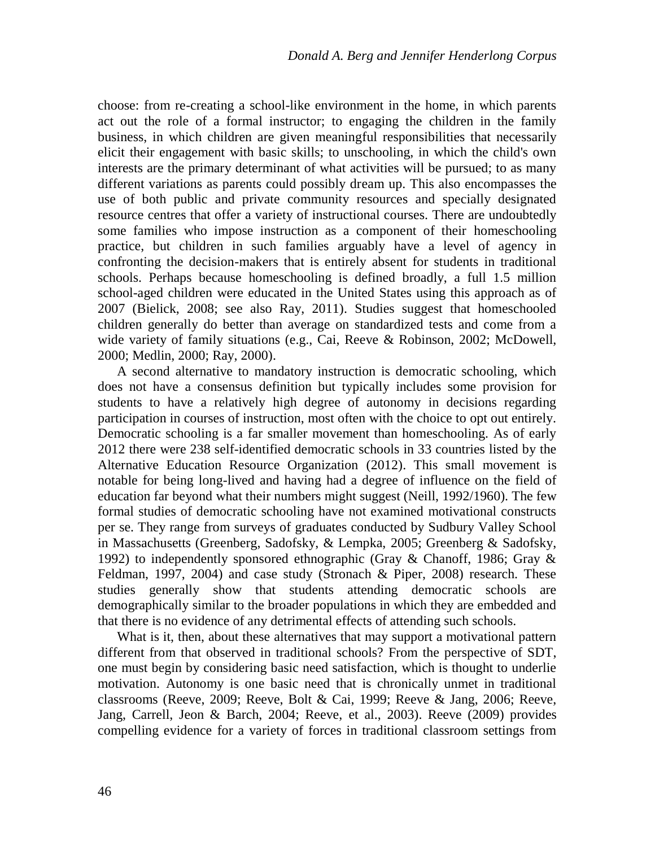choose: from re-creating a school-like environment in the home, in which parents act out the role of a formal instructor; to engaging the children in the family business, in which children are given meaningful responsibilities that necessarily elicit their engagement with basic skills; to unschooling, in which the child's own interests are the primary determinant of what activities will be pursued; to as many different variations as parents could possibly dream up. This also encompasses the use of both public and private community resources and specially designated resource centres that offer a variety of instructional courses. There are undoubtedly some families who impose instruction as a component of their homeschooling practice, but children in such families arguably have a level of agency in confronting the decision-makers that is entirely absent for students in traditional schools. Perhaps because homeschooling is defined broadly, a full 1.5 million school-aged children were educated in the United States using this approach as of 2007 (Bielick, 2008; see also Ray, 2011). Studies suggest that homeschooled children generally do better than average on standardized tests and come from a wide variety of family situations (e.g., Cai, Reeve & Robinson, 2002; McDowell, 2000; Medlin, 2000; Ray, 2000).

A second alternative to mandatory instruction is democratic schooling, which does not have a consensus definition but typically includes some provision for students to have a relatively high degree of autonomy in decisions regarding participation in courses of instruction, most often with the choice to opt out entirely. Democratic schooling is a far smaller movement than homeschooling. As of early 2012 there were 238 self-identified democratic schools in 33 countries listed by the Alternative Education Resource Organization (2012). This small movement is notable for being long-lived and having had a degree of influence on the field of education far beyond what their numbers might suggest (Neill, 1992/1960). The few formal studies of democratic schooling have not examined motivational constructs per se. They range from surveys of graduates conducted by Sudbury Valley School in Massachusetts (Greenberg, Sadofsky, & Lempka, 2005; Greenberg & Sadofsky, 1992) to independently sponsored ethnographic (Gray & Chanoff, 1986; Gray & Feldman, 1997, 2004) and case study (Stronach & Piper, 2008) research. These studies generally show that students attending democratic schools are demographically similar to the broader populations in which they are embedded and that there is no evidence of any detrimental effects of attending such schools.

What is it, then, about these alternatives that may support a motivational pattern different from that observed in traditional schools? From the perspective of SDT, one must begin by considering basic need satisfaction, which is thought to underlie motivation. Autonomy is one basic need that is chronically unmet in traditional classrooms (Reeve, 2009; Reeve, Bolt & Cai, 1999; Reeve & Jang, 2006; Reeve, Jang, Carrell, Jeon & Barch, 2004; Reeve, et al., 2003). Reeve (2009) provides compelling evidence for a variety of forces in traditional classroom settings from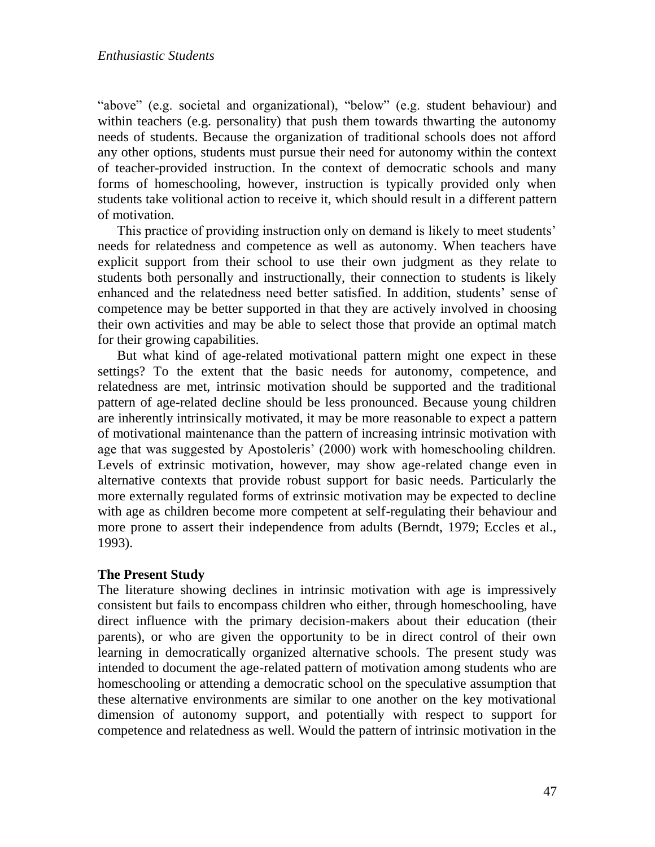"above" (e.g. societal and organizational), "below" (e.g. student behaviour) and within teachers (e.g. personality) that push them towards thwarting the autonomy needs of students. Because the organization of traditional schools does not afford any other options, students must pursue their need for autonomy within the context of teacher-provided instruction. In the context of democratic schools and many forms of homeschooling, however, instruction is typically provided only when students take volitional action to receive it, which should result in a different pattern of motivation.

This practice of providing instruction only on demand is likely to meet students' needs for relatedness and competence as well as autonomy. When teachers have explicit support from their school to use their own judgment as they relate to students both personally and instructionally, their connection to students is likely enhanced and the relatedness need better satisfied. In addition, students' sense of competence may be better supported in that they are actively involved in choosing their own activities and may be able to select those that provide an optimal match for their growing capabilities.

But what kind of age-related motivational pattern might one expect in these settings? To the extent that the basic needs for autonomy, competence, and relatedness are met, intrinsic motivation should be supported and the traditional pattern of age-related decline should be less pronounced. Because young children are inherently intrinsically motivated, it may be more reasonable to expect a pattern of motivational maintenance than the pattern of increasing intrinsic motivation with age that was suggested by Apostoleris' (2000) work with homeschooling children. Levels of extrinsic motivation, however, may show age-related change even in alternative contexts that provide robust support for basic needs. Particularly the more externally regulated forms of extrinsic motivation may be expected to decline with age as children become more competent at self-regulating their behaviour and more prone to assert their independence from adults (Berndt, 1979; Eccles et al., 1993).

#### **The Present Study**

The literature showing declines in intrinsic motivation with age is impressively consistent but fails to encompass children who either, through homeschooling, have direct influence with the primary decision-makers about their education (their parents), or who are given the opportunity to be in direct control of their own learning in democratically organized alternative schools. The present study was intended to document the age-related pattern of motivation among students who are homeschooling or attending a democratic school on the speculative assumption that these alternative environments are similar to one another on the key motivational dimension of autonomy support, and potentially with respect to support for competence and relatedness as well. Would the pattern of intrinsic motivation in the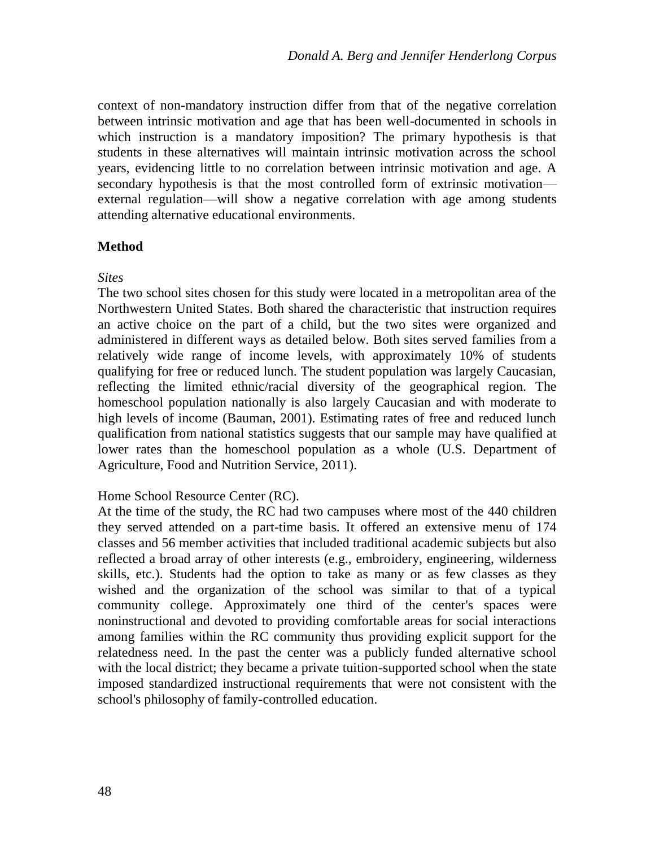context of non-mandatory instruction differ from that of the negative correlation between intrinsic motivation and age that has been well-documented in schools in which instruction is a mandatory imposition? The primary hypothesis is that students in these alternatives will maintain intrinsic motivation across the school years, evidencing little to no correlation between intrinsic motivation and age. A secondary hypothesis is that the most controlled form of extrinsic motivation external regulation—will show a negative correlation with age among students attending alternative educational environments.

## **Method**

## *Sites*

The two school sites chosen for this study were located in a metropolitan area of the Northwestern United States. Both shared the characteristic that instruction requires an active choice on the part of a child, but the two sites were organized and administered in different ways as detailed below. Both sites served families from a relatively wide range of income levels, with approximately 10% of students qualifying for free or reduced lunch. The student population was largely Caucasian, reflecting the limited ethnic/racial diversity of the geographical region. The homeschool population nationally is also largely Caucasian and with moderate to high levels of income (Bauman, 2001). Estimating rates of free and reduced lunch qualification from national statistics suggests that our sample may have qualified at lower rates than the homeschool population as a whole (U.S. Department of Agriculture, Food and Nutrition Service, 2011).

# Home School Resource Center (RC).

At the time of the study, the RC had two campuses where most of the 440 children they served attended on a part-time basis. It offered an extensive menu of 174 classes and 56 member activities that included traditional academic subjects but also reflected a broad array of other interests (e.g., embroidery, engineering, wilderness skills, etc.). Students had the option to take as many or as few classes as they wished and the organization of the school was similar to that of a typical community college. Approximately one third of the center's spaces were noninstructional and devoted to providing comfortable areas for social interactions among families within the RC community thus providing explicit support for the relatedness need. In the past the center was a publicly funded alternative school with the local district; they became a private tuition-supported school when the state imposed standardized instructional requirements that were not consistent with the school's philosophy of family-controlled education.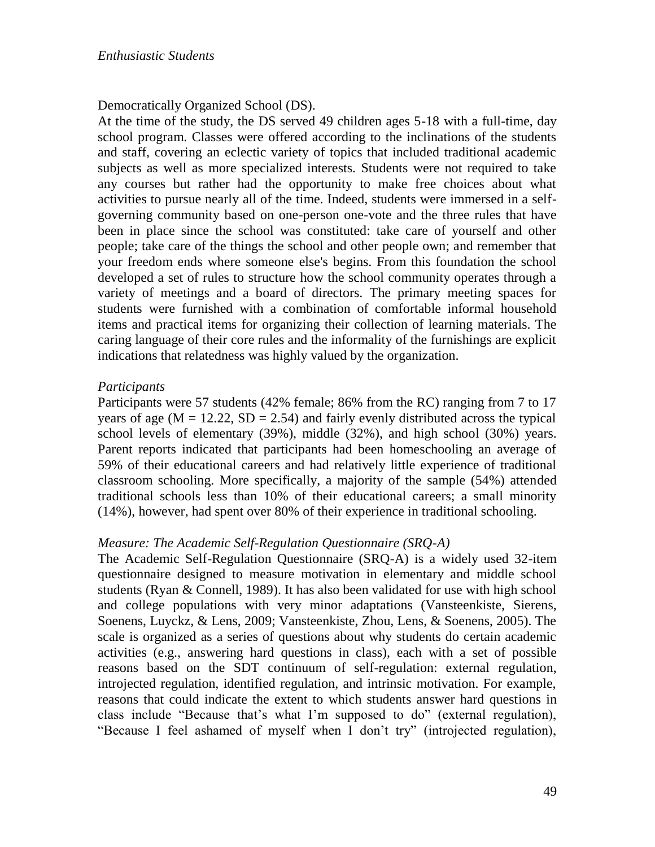## Democratically Organized School (DS).

At the time of the study, the DS served 49 children ages 5-18 with a full-time, day school program. Classes were offered according to the inclinations of the students and staff, covering an eclectic variety of topics that included traditional academic subjects as well as more specialized interests. Students were not required to take any courses but rather had the opportunity to make free choices about what activities to pursue nearly all of the time. Indeed, students were immersed in a selfgoverning community based on one-person one-vote and the three rules that have been in place since the school was constituted: take care of yourself and other people; take care of the things the school and other people own; and remember that your freedom ends where someone else's begins. From this foundation the school developed a set of rules to structure how the school community operates through a variety of meetings and a board of directors. The primary meeting spaces for students were furnished with a combination of comfortable informal household items and practical items for organizing their collection of learning materials. The caring language of their core rules and the informality of the furnishings are explicit indications that relatedness was highly valued by the organization.

## *Participants*

Participants were 57 students (42% female; 86% from the RC) ranging from 7 to 17 years of age  $(M = 12.22, SD = 2.54)$  and fairly evenly distributed across the typical school levels of elementary (39%), middle (32%), and high school (30%) years. Parent reports indicated that participants had been homeschooling an average of 59% of their educational careers and had relatively little experience of traditional classroom schooling. More specifically, a majority of the sample (54%) attended traditional schools less than 10% of their educational careers; a small minority (14%), however, had spent over 80% of their experience in traditional schooling.

## *Measure: The Academic Self-Regulation Questionnaire (SRQ-A)*

The Academic Self-Regulation Questionnaire (SRQ-A) is a widely used 32-item questionnaire designed to measure motivation in elementary and middle school students (Ryan & Connell, 1989). It has also been validated for use with high school and college populations with very minor adaptations (Vansteenkiste, Sierens, Soenens, Luyckz, & Lens, 2009; Vansteenkiste, Zhou, Lens, & Soenens, 2005). The scale is organized as a series of questions about why students do certain academic activities (e.g., answering hard questions in class), each with a set of possible reasons based on the SDT continuum of self-regulation: external regulation, introjected regulation, identified regulation, and intrinsic motivation. For example, reasons that could indicate the extent to which students answer hard questions in class include "Because that's what I'm supposed to do" (external regulation), "Because I feel ashamed of myself when I don't try" (introjected regulation),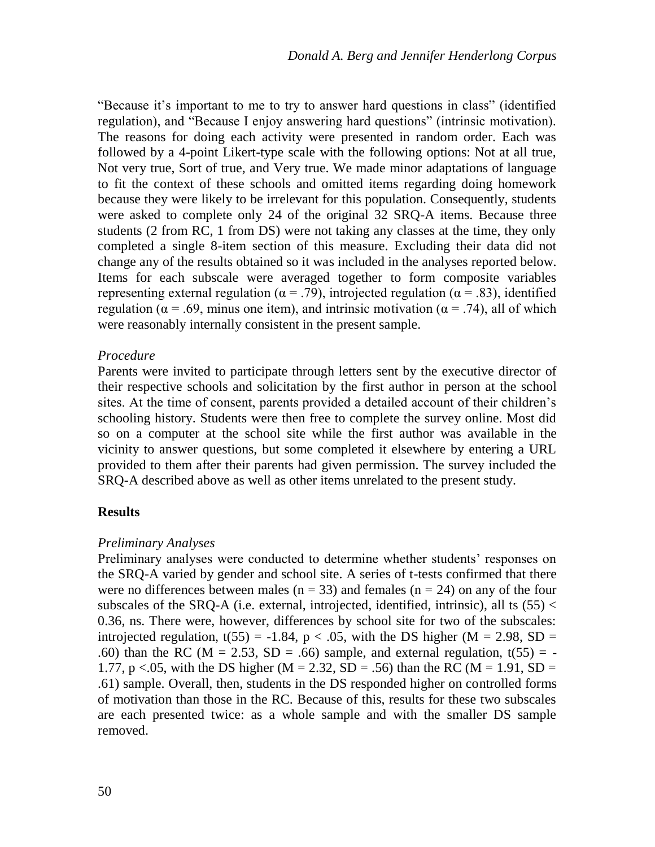"Because it's important to me to try to answer hard questions in class" (identified regulation), and "Because I enjoy answering hard questions" (intrinsic motivation). The reasons for doing each activity were presented in random order. Each was followed by a 4-point Likert-type scale with the following options: Not at all true, Not very true, Sort of true, and Very true. We made minor adaptations of language to fit the context of these schools and omitted items regarding doing homework because they were likely to be irrelevant for this population. Consequently, students were asked to complete only 24 of the original 32 SRQ-A items. Because three students (2 from RC, 1 from DS) were not taking any classes at the time, they only completed a single 8-item section of this measure. Excluding their data did not change any of the results obtained so it was included in the analyses reported below. Items for each subscale were averaged together to form composite variables representing external regulation ( $\alpha$  = .79), introjected regulation ( $\alpha$  = .83), identified regulation ( $\alpha$  = .69, minus one item), and intrinsic motivation ( $\alpha$  = .74), all of which were reasonably internally consistent in the present sample.

#### *Procedure*

Parents were invited to participate through letters sent by the executive director of their respective schools and solicitation by the first author in person at the school sites. At the time of consent, parents provided a detailed account of their children's schooling history. Students were then free to complete the survey online. Most did so on a computer at the school site while the first author was available in the vicinity to answer questions, but some completed it elsewhere by entering a URL provided to them after their parents had given permission. The survey included the SRQ-A described above as well as other items unrelated to the present study.

## **Results**

#### *Preliminary Analyses*

Preliminary analyses were conducted to determine whether students' responses on the SRQ-A varied by gender and school site. A series of t-tests confirmed that there were no differences between males ( $n = 33$ ) and females ( $n = 24$ ) on any of the four subscales of the SRQ-A (i.e. external, introjected, identified, intrinsic), all ts  $(55)$  < 0.36, ns. There were, however, differences by school site for two of the subscales: introjected regulation, t(55) = -1.84, p < .05, with the DS higher (M = 2.98, SD = .60) than the RC ( $M = 2.53$ ,  $SD = .66$ ) sample, and external regulation, t(55) = -1.77, p <.05, with the DS higher (M = 2.32, SD = .56) than the RC (M = 1.91, SD = .61) sample. Overall, then, students in the DS responded higher on controlled forms of motivation than those in the RC. Because of this, results for these two subscales are each presented twice: as a whole sample and with the smaller DS sample removed.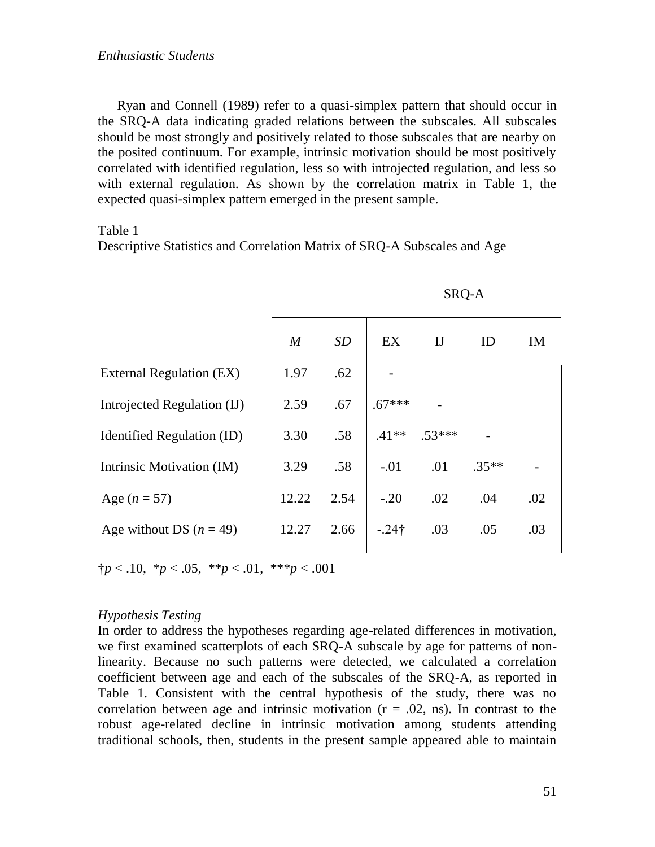Ryan and Connell (1989) refer to a quasi-simplex pattern that should occur in the SRQ-A data indicating graded relations between the subscales. All subscales should be most strongly and positively related to those subscales that are nearby on the posited continuum. For example, intrinsic motivation should be most positively correlated with identified regulation, less so with introjected regulation, and less so with external regulation. As shown by the correlation matrix in Table 1, the expected quasi-simplex pattern emerged in the present sample.

Table 1

Descriptive Statistics and Correlation Matrix of SRQ-A Subscales and Age

|                             |       | SRQ-A     |               |            |         |     |
|-----------------------------|-------|-----------|---------------|------------|---------|-----|
|                             | M     | <b>SD</b> | EX            | $_{\rm I}$ | ID      | IM  |
| External Regulation (EX)    | 1.97  | .62       |               |            |         |     |
| Introjected Regulation (IJ) | 2.59  | .67       | $.67***$      |            |         |     |
| Identified Regulation (ID)  | 3.30  | .58       | $.41**$       | $.53***$   |         |     |
| Intrinsic Motivation (IM)   | 3.29  | .58       | $-.01$        | .01        | $.35**$ |     |
| Age $(n = 57)$              | 12.22 | 2.54      | $-.20$        | .02        | .04     | .02 |
| Age without DS $(n = 49)$   | 12.27 | 2.66      | $-.24\dagger$ | .03        | .05     | .03 |

 $\uparrow p < .10, \, \uparrow p < .05, \, \uparrow \uparrow p < .01, \, \uparrow \uparrow \uparrow p < .001$ 

## *Hypothesis Testing*

In order to address the hypotheses regarding age-related differences in motivation, we first examined scatterplots of each SRQ-A subscale by age for patterns of nonlinearity. Because no such patterns were detected, we calculated a correlation coefficient between age and each of the subscales of the SRQ-A, as reported in Table 1. Consistent with the central hypothesis of the study, there was no correlation between age and intrinsic motivation  $(r = .02, ns)$ . In contrast to the robust age-related decline in intrinsic motivation among students attending traditional schools, then, students in the present sample appeared able to maintain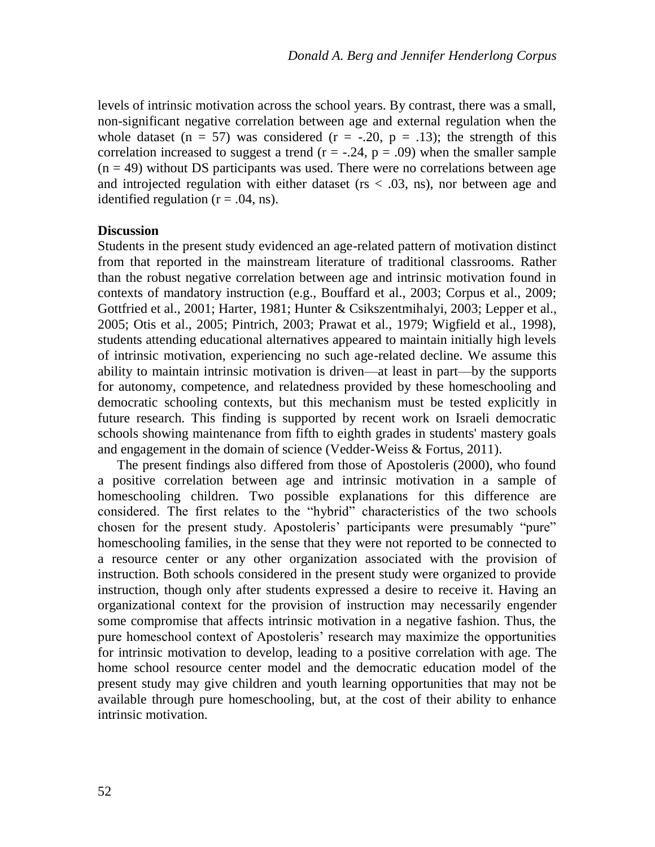levels of intrinsic motivation across the school years. By contrast, there was a small, non-significant negative correlation between age and external regulation when the whole dataset (n = 57) was considered (r = -.20, p = .13); the strength of this correlation increased to suggest a trend ( $r = -.24$ ,  $p = .09$ ) when the smaller sample  $(n = 49)$  without DS participants was used. There were no correlations between age and introjected regulation with either dataset ( $rs < .03$ , ns), nor between age and identified regulation  $(r = .04, ns)$ .

#### **Discussion**

Students in the present study evidenced an age-related pattern of motivation distinct from that reported in the mainstream literature of traditional classrooms. Rather than the robust negative correlation between age and intrinsic motivation found in contexts of mandatory instruction (e.g., Bouffard et al., 2003; Corpus et al., 2009; Gottfried et al., 2001; Harter, 1981; Hunter & Csikszentmihalyi, 2003; Lepper et al., 2005; Otis et al., 2005; Pintrich, 2003; Prawat et al., 1979; Wigfield et al., 1998), students attending educational alternatives appeared to maintain initially high levels of intrinsic motivation, experiencing no such age-related decline. We assume this ability to maintain intrinsic motivation is driven—at least in part—by the supports for autonomy, competence, and relatedness provided by these homeschooling and democratic schooling contexts, but this mechanism must be tested explicitly in future research. This finding is supported by recent work on Israeli democratic schools showing maintenance from fifth to eighth grades in students' mastery goals and engagement in the domain of science (Vedder-Weiss & Fortus, 2011).

The present findings also differed from those of Apostoleris (2000), who found a positive correlation between age and intrinsic motivation in a sample of homeschooling children. Two possible explanations for this difference are considered. The first relates to the "hybrid" characteristics of the two schools chosen for the present study. Apostoleris' participants were presumably "pure" homeschooling families, in the sense that they were not reported to be connected to a resource center or any other organization associated with the provision of instruction. Both schools considered in the present study were organized to provide instruction, though only after students expressed a desire to receive it. Having an organizational context for the provision of instruction may necessarily engender some compromise that affects intrinsic motivation in a negative fashion. Thus, the pure homeschool context of Apostoleris' research may maximize the opportunities for intrinsic motivation to develop, leading to a positive correlation with age. The home school resource center model and the democratic education model of the present study may give children and youth learning opportunities that may not be available through pure homeschooling, but, at the cost of their ability to enhance intrinsic motivation.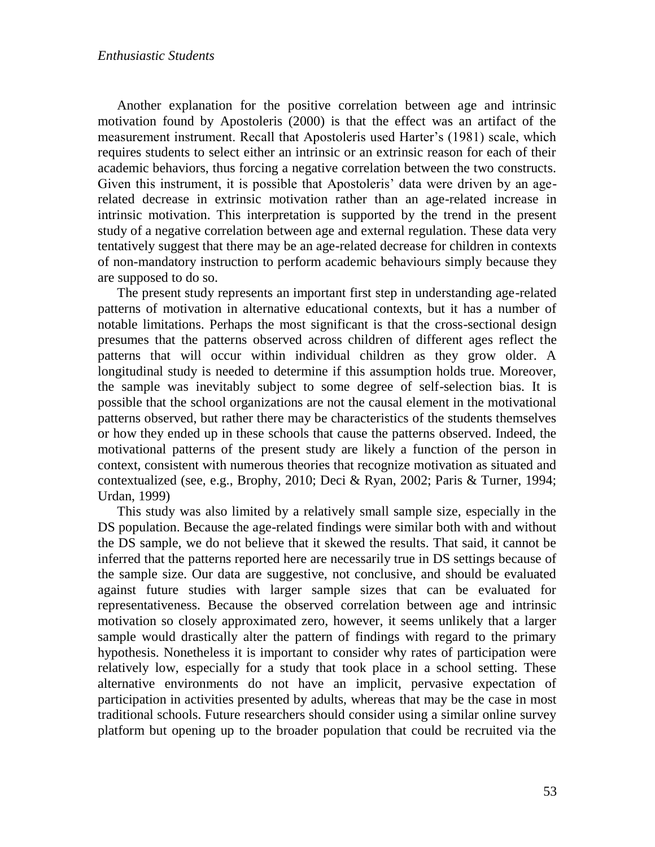Another explanation for the positive correlation between age and intrinsic motivation found by Apostoleris (2000) is that the effect was an artifact of the measurement instrument. Recall that Apostoleris used Harter's (1981) scale, which requires students to select either an intrinsic or an extrinsic reason for each of their academic behaviors, thus forcing a negative correlation between the two constructs. Given this instrument, it is possible that Apostoleris' data were driven by an agerelated decrease in extrinsic motivation rather than an age-related increase in intrinsic motivation. This interpretation is supported by the trend in the present study of a negative correlation between age and external regulation. These data very tentatively suggest that there may be an age-related decrease for children in contexts of non-mandatory instruction to perform academic behaviours simply because they are supposed to do so.

The present study represents an important first step in understanding age-related patterns of motivation in alternative educational contexts, but it has a number of notable limitations. Perhaps the most significant is that the cross-sectional design presumes that the patterns observed across children of different ages reflect the patterns that will occur within individual children as they grow older. A longitudinal study is needed to determine if this assumption holds true. Moreover, the sample was inevitably subject to some degree of self-selection bias. It is possible that the school organizations are not the causal element in the motivational patterns observed, but rather there may be characteristics of the students themselves or how they ended up in these schools that cause the patterns observed. Indeed, the motivational patterns of the present study are likely a function of the person in context, consistent with numerous theories that recognize motivation as situated and contextualized (see, e.g., Brophy, 2010; Deci & Ryan, 2002; Paris & Turner, 1994; Urdan, 1999)

This study was also limited by a relatively small sample size, especially in the DS population. Because the age-related findings were similar both with and without the DS sample, we do not believe that it skewed the results. That said, it cannot be inferred that the patterns reported here are necessarily true in DS settings because of the sample size. Our data are suggestive, not conclusive, and should be evaluated against future studies with larger sample sizes that can be evaluated for representativeness. Because the observed correlation between age and intrinsic motivation so closely approximated zero, however, it seems unlikely that a larger sample would drastically alter the pattern of findings with regard to the primary hypothesis. Nonetheless it is important to consider why rates of participation were relatively low, especially for a study that took place in a school setting. These alternative environments do not have an implicit, pervasive expectation of participation in activities presented by adults, whereas that may be the case in most traditional schools. Future researchers should consider using a similar online survey platform but opening up to the broader population that could be recruited via the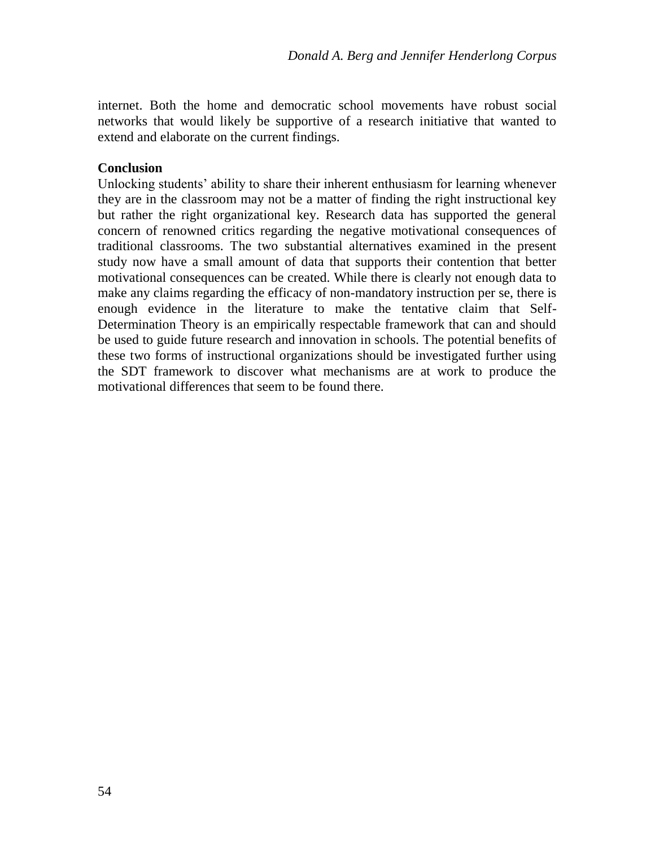internet. Both the home and democratic school movements have robust social networks that would likely be supportive of a research initiative that wanted to extend and elaborate on the current findings.

## **Conclusion**

Unlocking students' ability to share their inherent enthusiasm for learning whenever they are in the classroom may not be a matter of finding the right instructional key but rather the right organizational key. Research data has supported the general concern of renowned critics regarding the negative motivational consequences of traditional classrooms. The two substantial alternatives examined in the present study now have a small amount of data that supports their contention that better motivational consequences can be created. While there is clearly not enough data to make any claims regarding the efficacy of non-mandatory instruction per se, there is enough evidence in the literature to make the tentative claim that Self-Determination Theory is an empirically respectable framework that can and should be used to guide future research and innovation in schools. The potential benefits of these two forms of instructional organizations should be investigated further using the SDT framework to discover what mechanisms are at work to produce the motivational differences that seem to be found there.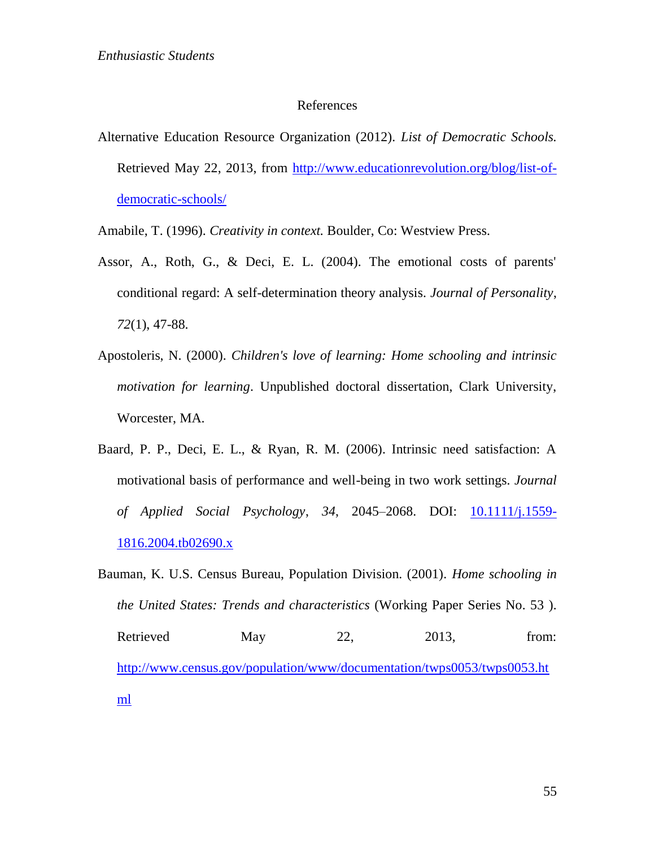#### References

Alternative Education Resource Organization (2012). *List of Democratic Schools.* Retrieved May 22, 2013, from [http://www.educationrevolution.org/blog/list-of](http://www.educationrevolution.org/blog/list-of-democratic-schools/)[democratic-schools/](http://www.educationrevolution.org/blog/list-of-democratic-schools/)

Amabile, T. (1996). *Creativity in context.* Boulder, Co: Westview Press.

- Assor, A., Roth, G., & Deci, E. L. (2004). The emotional costs of parents' conditional regard: A self-determination theory analysis. *Journal of Personality*, *72*(1), 47-88.
- Apostoleris, N. (2000). *Children's love of learning: Home schooling and intrinsic motivation for learning*. Unpublished doctoral dissertation, Clark University, Worcester, MA.
- Baard, P. P., Deci, E. L., & Ryan, R. M. (2006). Intrinsic need satisfaction: A motivational basis of performance and well-being in two work settings. *Journal of Applied Social Psychology*, *34*, 2045–2068. DOI: [10.1111/j.1559-](http://onlinelibrary.wiley.com/doi/10.1111/j.1559-1816.2004.tb02690.x/abstract) [1816.2004.tb02690.x](http://onlinelibrary.wiley.com/doi/10.1111/j.1559-1816.2004.tb02690.x/abstract)
- Bauman, K. U.S. Census Bureau, Population Division. (2001). *Home schooling in the United States: Trends and characteristics* (Working Paper Series No. 53 ). Retrieved May 22, 2013, from: [http://www.census.gov/population/www/documentation/twps0053/twps0053.ht](http://www.census.gov/population/www/documentation/twps0053/twps0053.html) [ml](http://www.census.gov/population/www/documentation/twps0053/twps0053.html)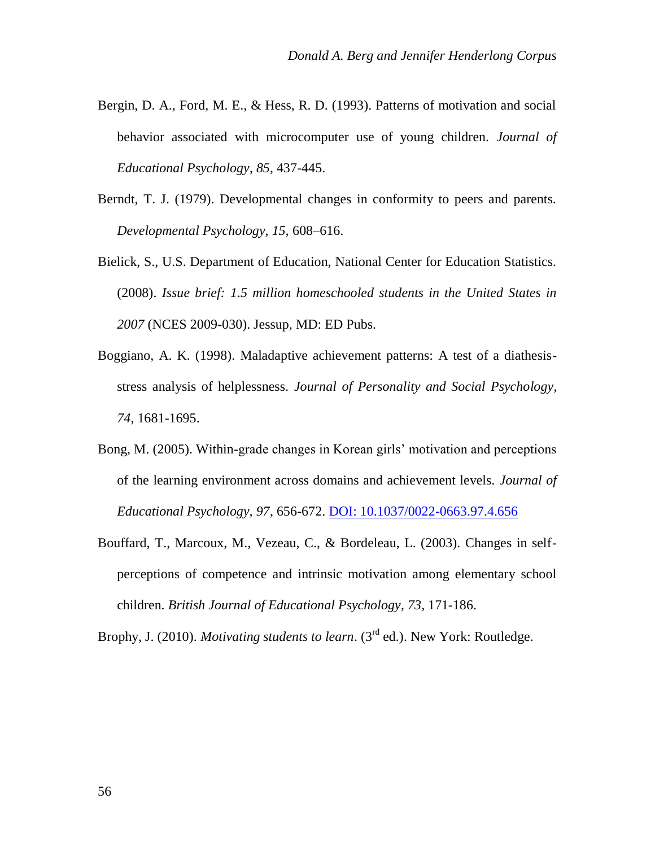- Bergin, D. A., Ford, M. E., & Hess, R. D. (1993). Patterns of motivation and social behavior associated with microcomputer use of young children. *Journal of Educational Psychology*, *85*, 437-445.
- Berndt, T. J. (1979). Developmental changes in conformity to peers and parents. *Developmental Psychology, 15,* 608–616.
- Bielick, S., U.S. Department of Education, National Center for Education Statistics. (2008). *Issue brief: 1.5 million homeschooled students in the United States in 2007* (NCES 2009-030). Jessup, MD: ED Pubs.
- Boggiano, A. K. (1998). Maladaptive achievement patterns: A test of a diathesisstress analysis of helplessness. *Journal of Personality and Social Psychology, 74*, 1681-1695.
- Bong, M. (2005). Within-grade changes in Korean girls' motivation and perceptions of the learning environment across domains and achievement levels. *Journal of Educational Psychology, 97*, 656-672. [DOI: 10.1037/0022-0663.97.4.656](http://psycnet.apa.org/index.cfm?fa=buy.optionToBuy&id=2005-15839-013)
- Bouffard, T., Marcoux, M., Vezeau, C., & Bordeleau, L. (2003). Changes in selfperceptions of competence and intrinsic motivation among elementary school children. *British Journal of Educational Psychology*, *73*, 171-186.

Brophy, J. (2010). *Motivating students to learn*. (3<sup>rd</sup> ed.). New York: Routledge.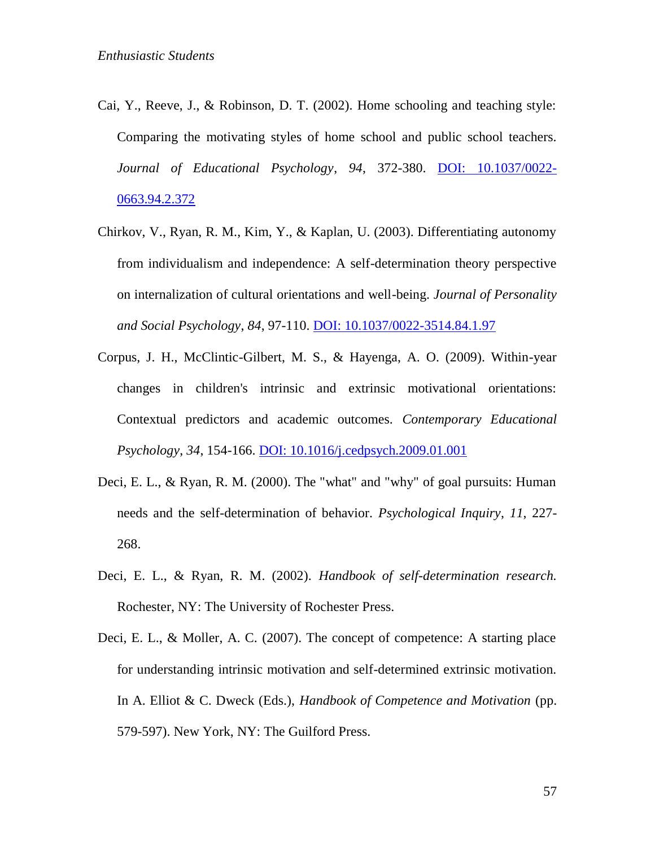- Cai, Y., Reeve, J., & Robinson, D. T. (2002). Home schooling and teaching style: Comparing the motivating styles of home school and public school teachers. *Journal of Educational Psychology*, *94*, 372-380. [DOI: 10.1037/0022-](http://psycnet.apa.org/journals/edu/94/2/372/) [0663.94.2.372](http://psycnet.apa.org/journals/edu/94/2/372/)
- Chirkov, V., Ryan, R. M., Kim, Y., & Kaplan, U. (2003). Differentiating autonomy from individualism and independence: A self-determination theory perspective on internalization of cultural orientations and well-being. *Journal of Personality and Social Psychology*, *84*, 97-110[. DOI: 10.1037/0022-3514.84.1.97](http://psycnet.apa.org/index.cfm?fa=buy.optionToBuy&uid=2002-08440-010)
- Corpus, J. H., McClintic-Gilbert, M. S., & Hayenga, A. O. (2009). Within-year changes in children's intrinsic and extrinsic motivational orientations: Contextual predictors and academic outcomes. *Contemporary Educational Psychology*, *34*, 154-166[. DOI: 10.1016/j.cedpsych.2009.01.001](http://eric.ed.gov/?id=EJ833361)
- Deci, E. L., & Ryan, R. M. (2000). The "what" and "why" of goal pursuits: Human needs and the self-determination of behavior. *Psychological Inquiry*, *11*, 227- 268.
- Deci, E. L., & Ryan, R. M. (2002). *Handbook of self-determination research.* Rochester, NY: The University of Rochester Press.
- Deci, E. L., & Moller, A. C. (2007). The concept of competence: A starting place for understanding intrinsic motivation and self-determined extrinsic motivation. In A. Elliot & C. Dweck (Eds.), *Handbook of Competence and Motivation* (pp. 579-597). New York, NY: The Guilford Press.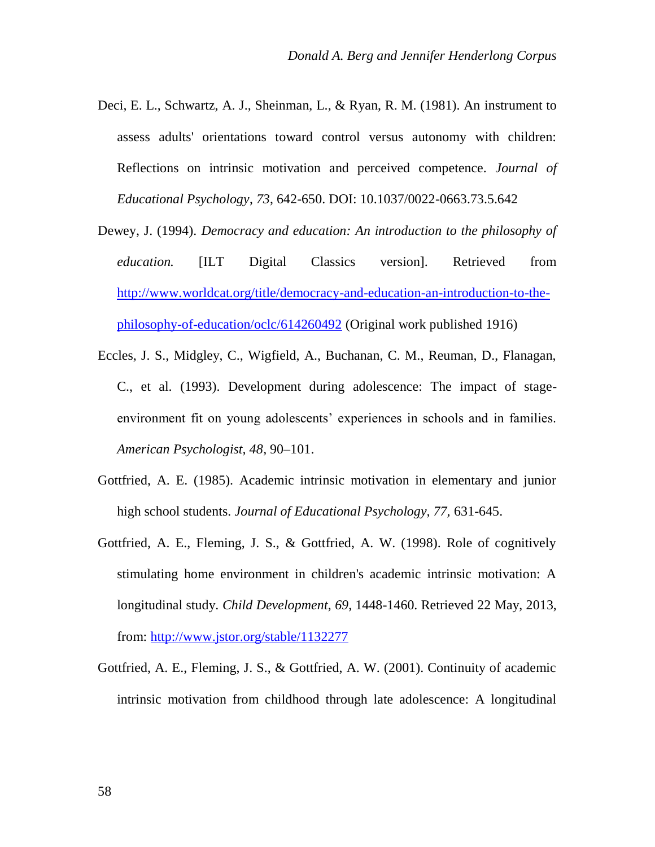- Deci, E. L., Schwartz, A. J., Sheinman, L., & Ryan, R. M. (1981). An instrument to assess adults' orientations toward control versus autonomy with children: Reflections on intrinsic motivation and perceived competence. *Journal of Educational Psychology*, *73*, 642-650. DOI: 10.1037/0022-0663.73.5.642
- Dewey, J. (1994). *Democracy and education: An introduction to the philosophy of education.* [ILT Digital Classics version]. Retrieved from [http://www.worldcat.org/title/democracy-and-education-an-introduction-to-the](http://www.worldcat.org/title/democracy-and-education-an-introduction-to-the-philosophy-of-education/oclc/614260492)[philosophy-of-education/oclc/614260492](http://www.worldcat.org/title/democracy-and-education-an-introduction-to-the-philosophy-of-education/oclc/614260492) (Original work published 1916)
- Eccles, J. S., Midgley, C., Wigfield, A., Buchanan, C. M., Reuman, D., Flanagan, C., et al. (1993). Development during adolescence: The impact of stageenvironment fit on young adolescents' experiences in schools and in families. *American Psychologist, 48*, 90–101.
- Gottfried, A. E. (1985). Academic intrinsic motivation in elementary and junior high school students. *Journal of Educational Psychology, 77,* 631-645.
- Gottfried, A. E., Fleming, J. S., & Gottfried, A. W. (1998). Role of cognitively stimulating home environment in children's academic intrinsic motivation: A longitudinal study. *Child Development*, *69*, 1448-1460. Retrieved 22 May, 2013, from: [http://www.jstor.org/stable/1132277](http://www.jstor.org/discover/10.2307/1132277?uid=3738032&uid=2&uid=4&sid=21102533999203)
- Gottfried, A. E., Fleming, J. S., & Gottfried, A. W. (2001). Continuity of academic intrinsic motivation from childhood through late adolescence: A longitudinal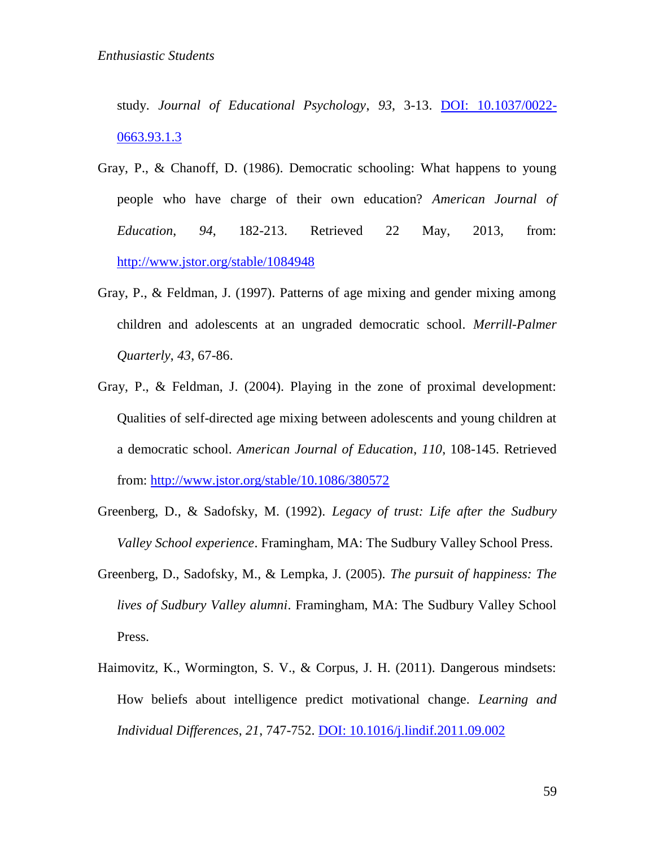study. *Journal of Educational Psychology*, *93*, 3-13. [DOI: 10.1037/0022-](http://psycnet.apa.org/index.cfm?fa=buy.optionToBuy&id=2001-16705-001) [0663.93.1.3](http://psycnet.apa.org/index.cfm?fa=buy.optionToBuy&id=2001-16705-001)

- Gray, P., & Chanoff, D. (1986). Democratic schooling: What happens to young people who have charge of their own education? *American Journal of Education*, *94*, 182-213. Retrieved 22 May, 2013, from: [http://www.jstor.org/stable/1084948](http://www.jstor.org/discover/10.1086/380572?uid=3738032&uid=2&uid=4&sid=21102533999203)
- Gray, P., & Feldman, J. (1997). Patterns of age mixing and gender mixing among children and adolescents at an ungraded democratic school. *Merrill-Palmer Quarterly*, *43*, 67-86.
- Gray, P., & Feldman, J. (2004). Playing in the zone of proximal development: Qualities of self-directed age mixing between adolescents and young children at a democratic school. *American Journal of Education*, *110*, 108-145. Retrieved from: [http://www.jstor.org/stable/10.1086/380572](http://www.jstor.org/discover/10.1086/380572?uid=3738032&uid=2&uid=4&sid=21102533999203)
- Greenberg, D., & Sadofsky, M. (1992). *Legacy of trust: Life after the Sudbury Valley School experience*. Framingham, MA: The Sudbury Valley School Press.
- Greenberg, D., Sadofsky, M., & Lempka, J. (2005). *The pursuit of happiness: The lives of Sudbury Valley alumni*. Framingham, MA: The Sudbury Valley School Press.
- Haimovitz, K., Wormington, S. V., & Corpus, J. H. (2011). Dangerous mindsets: How beliefs about intelligence predict motivational change. *Learning and Individual Differences*, *21*, 747-752. [DOI: 10.1016/j.lindif.2011.09.002](http://www.reed.edu/motivation/docs/DangerousMindsetsPublished.pdf)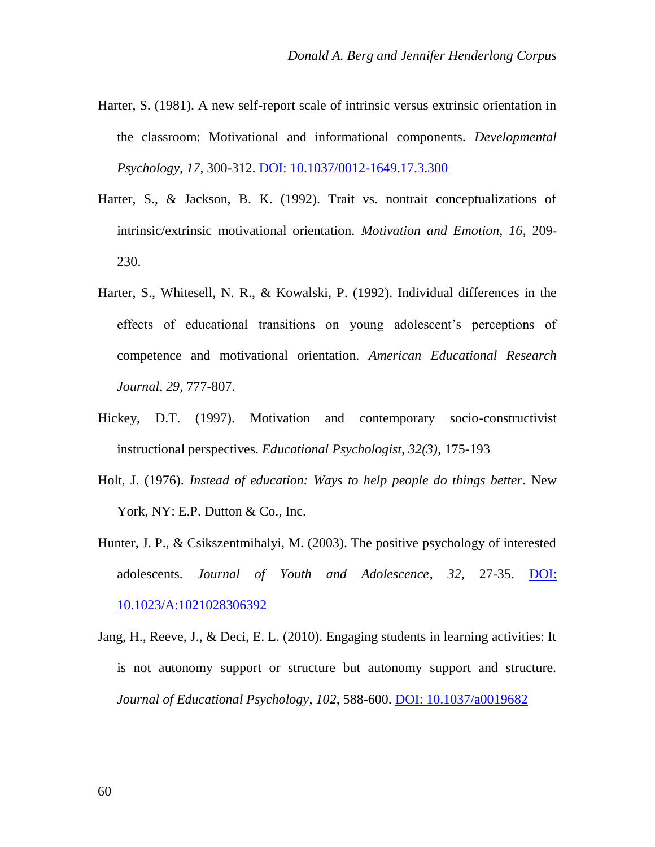- Harter, S. (1981). A new self-report scale of intrinsic versus extrinsic orientation in the classroom: Motivational and informational components. *Developmental Psychology*, *17*, 300-312[. DOI: 10.1037/0012-1649.17.3.300](http://psycnet.apa.org/index.cfm?fa=search.displayRecord&uid=1981-24428-001)
- Harter, S., & Jackson, B. K. (1992). Trait vs. nontrait conceptualizations of intrinsic/extrinsic motivational orientation. *Motivation and Emotion, 16*, 209- 230.
- Harter, S., Whitesell, N. R., & Kowalski, P. (1992). Individual differences in the effects of educational transitions on young adolescent's perceptions of competence and motivational orientation. *American Educational Research Journal, 29,* 777-807.
- Hickey, D.T. (1997). Motivation and contemporary socio-constructivist instructional perspectives. *Educational Psychologist, 32(3)*, 175-193
- Holt, J. (1976). *Instead of education: Ways to help people do things better*. New York, NY: E.P. Dutton & Co., Inc.
- Hunter, J. P., & Csikszentmihalyi, M. (2003). The positive psychology of interested adolescents. *Journal of Youth and Adolescence*, *32*, 27-35. [DOI:](http://psycnet.apa.org/psycinfo/2002-06842-004)  [10.1023/A:1021028306392](http://psycnet.apa.org/psycinfo/2002-06842-004)
- Jang, H., Reeve, J., & Deci, E. L. (2010). Engaging students in learning activities: It is not autonomy support or structure but autonomy support and structure. *Journal of Educational Psychology*, *102*, 588-600. [DOI: 10.1037/a0019682](http://psycnet.apa.org/index.cfm?fa=buy.optionToBuy&id=2010-15712-005)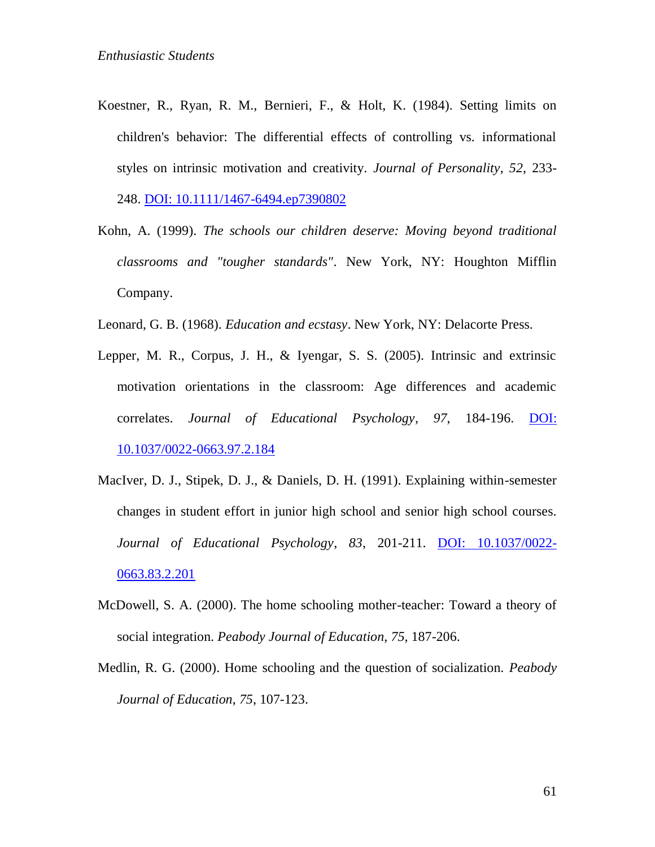- Koestner, R., Ryan, R. M., Bernieri, F., & Holt, K. (1984). Setting limits on children's behavior: The differential effects of controlling vs. informational styles on intrinsic motivation and creativity. *Journal of Personality*, *52*, 233- 248. [DOI: 10.1111/1467-6494.ep7390802](http://selfdeterminationtheory.org/SDT/documents/1984_KoestnerRyanBernHolt.pdf)
- Kohn, A. (1999). *The schools our children deserve: Moving beyond traditional classrooms and "tougher standards"*. New York, NY: Houghton Mifflin Company.
- Leonard, G. B. (1968). *Education and ecstasy*. New York, NY: Delacorte Press.
- Lepper, M. R., Corpus, J. H., & Iyengar, S. S. (2005). Intrinsic and extrinsic motivation orientations in the classroom: Age differences and academic correlates. *Journal of Educational Psychology*, *97*, 184-196. [DOI:](http://psycnet.apa.org/index.cfm?fa=buy.optionToBuy&uid=2005-05100-004)  [10.1037/0022-0663.97.2.184](http://psycnet.apa.org/index.cfm?fa=buy.optionToBuy&uid=2005-05100-004)
- MacIver, D. J., Stipek, D. J., & Daniels, D. H. (1991). Explaining within-semester changes in student effort in junior high school and senior high school courses. *Journal of Educational Psychology*, *83*, 201-211. [DOI: 10.1037/0022-](http://psycnet.apa.org/journals/edu/83/2/201/) [0663.83.2.201](http://psycnet.apa.org/journals/edu/83/2/201/)
- McDowell, S. A. (2000). The home schooling mother-teacher: Toward a theory of social integration. *Peabody Journal of Education*, *75*, 187-206.
- Medlin, R. G. (2000). Home schooling and the question of socialization. *Peabody Journal of Education*, *75*, 107-123.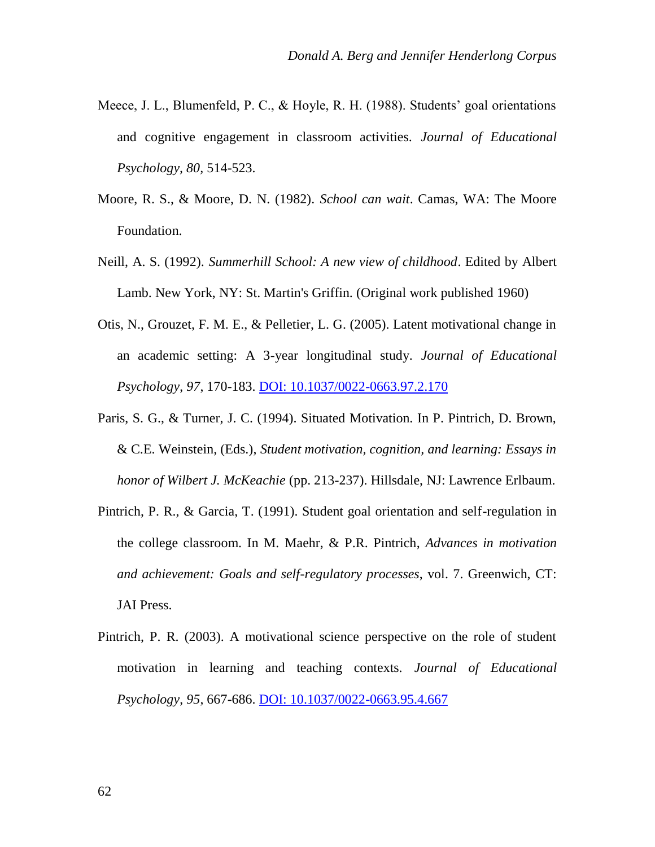- Meece, J. L., Blumenfeld, P. C., & Hoyle, R. H. (1988). Students' goal orientations and cognitive engagement in classroom activities. *Journal of Educational Psychology, 80,* 514-523.
- Moore, R. S., & Moore, D. N. (1982). *School can wait*. Camas, WA: The Moore Foundation.
- Neill, A. S. (1992). *Summerhill School: A new view of childhood*. Edited by Albert Lamb. New York, NY: St. Martin's Griffin. (Original work published 1960)
- Otis, N., Grouzet, F. M. E., & Pelletier, L. G. (2005). Latent motivational change in an academic setting: A 3-year longitudinal study. *Journal of Educational Psychology*, *97*, 170-183[. DOI: 10.1037/0022-0663.97.2.170](http://psycnet.apa.org/index.cfm?fa=buy.optionToBuy&id=2005-05100-003)
- Paris, S. G., & Turner, J. C. (1994). Situated Motivation. In P. Pintrich, D. Brown, & C.E. Weinstein, (Eds.), *Student motivation, cognition, and learning: Essays in honor of Wilbert J. McKeachie* (pp. 213-237). Hillsdale, NJ: Lawrence Erlbaum.
- Pintrich, P. R., & Garcia, T. (1991). Student goal orientation and self-regulation in the college classroom. In M. Maehr, & P.R. Pintrich, *Advances in motivation and achievement: Goals and self-regulatory processes*, vol. 7. Greenwich, CT: JAI Press.
- Pintrich, P. R. (2003). A motivational science perspective on the role of student motivation in learning and teaching contexts. *Journal of Educational Psychology*, *95*, 667-686[. DOI: 10.1037/0022-0663.95.4.667](http://psycnet.apa.org/journals/edu/95/4/667/)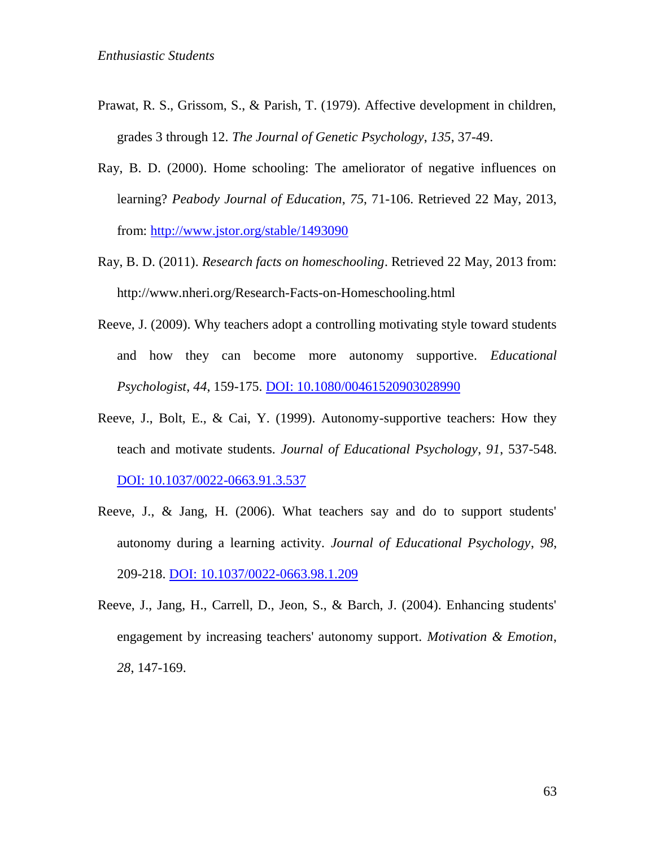- Prawat, R. S., Grissom, S., & Parish, T. (1979). Affective development in children, grades 3 through 12. *The Journal of Genetic Psychology*, *135*, 37-49.
- Ray, B. D. (2000). Home schooling: The ameliorator of negative influences on learning? *Peabody Journal of Education*, *75*, 71-106. Retrieved 22 May, 2013, from: [http://www.jstor.org/stable/1493090](http://www.jstor.org/discover/10.2307/1493090?uid=3738032&uid=2&uid=4&sid=21102533999203)
- Ray, B. D. (2011). *Research facts on homeschooling*. Retrieved 22 May, 2013 from: http://www.nheri.org/Research-Facts-on-Homeschooling.html
- Reeve, J. (2009). Why teachers adopt a controlling motivating style toward students and how they can become more autonomy supportive. *Educational Psychologist*, *44*, 159-175[. DOI: 10.1080/00461520903028990](http://www.tandfonline.com/doi/abs/10.1080/00461520903028990?journalCode=hedp20#.UgJCL9JwroI)
- Reeve, J., Bolt, E., & Cai, Y. (1999). Autonomy-supportive teachers: How they teach and motivate students. *Journal of Educational Psychology*, *91*, 537-548. [DOI: 10.1037/0022-0663.91.3.537](http://psycnet.apa.org/journals/edu/91/3/537/)
- Reeve, J., & Jang, H. (2006). What teachers say and do to support students' autonomy during a learning activity. *Journal of Educational Psychology*, *98*, 209-218[. DOI: 10.1037/0022-0663.98.1.209](http://psycnet.apa.org/index.cfm?fa=buy.optionToBuy&id=2006-02666-017)
- Reeve, J., Jang, H., Carrell, D., Jeon, S., & Barch, J. (2004). Enhancing students' engagement by increasing teachers' autonomy support. *Motivation & Emotion*, *28*, 147-169.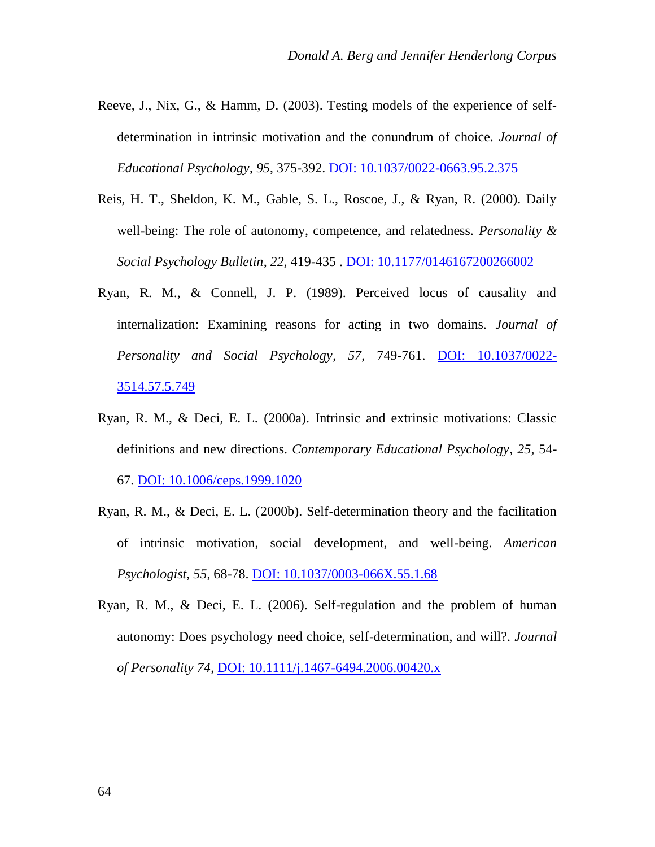- Reeve, J., Nix, G., & Hamm, D. (2003). Testing models of the experience of selfdetermination in intrinsic motivation and the conundrum of choice. *Journal of Educational Psychology*, *95*, 375-392. [DOI: 10.1037/0022-0663.95.2.375](http://psycnet.apa.org/index.cfm?fa=buy.optionToBuy&uid=2003-00780-015)
- Reis, H. T., Sheldon, K. M., Gable, S. L., Roscoe, J., & Ryan, R. (2000). Daily well-being: The role of autonomy, competence, and relatedness. *Personality & Social Psychology Bulletin*, *22*, 419-435 . [DOI: 10.1177/0146167200266002](http://psp.sagepub.com/content/26/4/419.abstract)
- Ryan, R. M., & Connell, J. P. (1989). Perceived locus of causality and internalization: Examining reasons for acting in two domains. *Journal of Personality and Social Psychology*, *57*, 749-761. [DOI: 10.1037/0022-](http://psycnet.apa.org/index.cfm?fa=buy.optionToBuy&uid=1990-07258-001) [3514.57.5.749](http://psycnet.apa.org/index.cfm?fa=buy.optionToBuy&uid=1990-07258-001)
- Ryan, R. M., & Deci, E. L. (2000a). Intrinsic and extrinsic motivations: Classic definitions and new directions. *Contemporary Educational Psychology*, *25*, 54- 67. [DOI: 10.1006/ceps.1999.1020](http://mmrg.pbworks.com/f/Ryan,+Deci+00.pdf)
- Ryan, R. M., & Deci, E. L. (2000b). Self-determination theory and the facilitation of intrinsic motivation, social development, and well-being. *American Psychologist*, *55*, 68-78[. DOI: 10.1037/0003-066X.55.1.68](http://psycnet.apa.org/index.cfm?fa=buy.optionToBuy&uid=2000-13324-007)
- Ryan, R. M., & Deci, E. L. (2006). Self-regulation and the problem of human autonomy: Does psychology need choice, self-determination, and will?. *Journal of Personality 74*, [DOI: 10.1111/j.1467-6494.2006.00420.x](http://www.intrinsicmotivation.net/SDT/documents/2006_RyanDeci_Self-RegulationProblemofHumanAutonomy.pdf)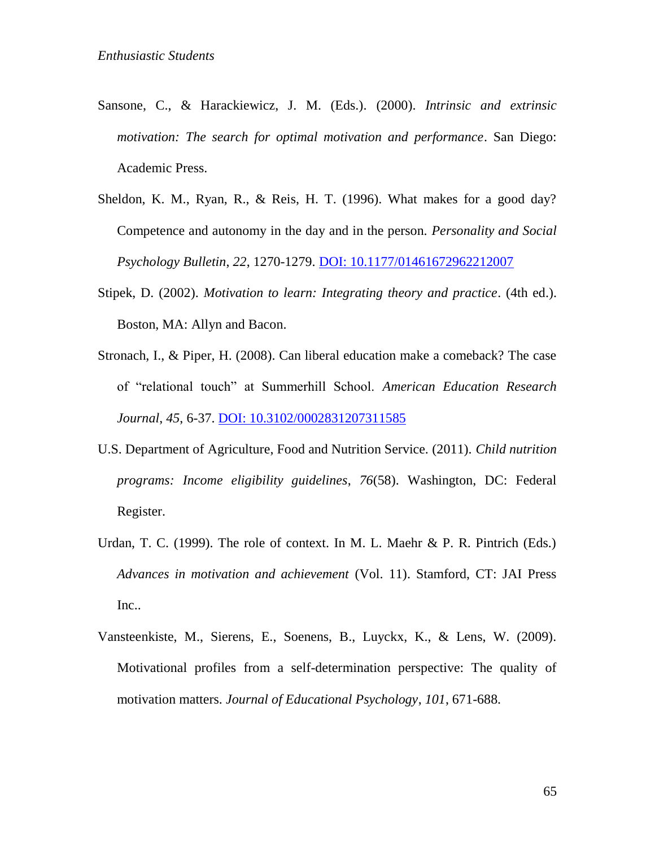- Sansone, C., & Harackiewicz, J. M. (Eds.). (2000). *Intrinsic and extrinsic motivation: The search for optimal motivation and performance*. San Diego: Academic Press.
- Sheldon, K. M., Ryan, R., & Reis, H. T. (1996). What makes for a good day? Competence and autonomy in the day and in the person. *Personality and Social Psychology Bulletin*, *22*, 1270-1279. [DOI: 10.1177/01461672962212007](http://psp.sagepub.com/content/22/12/1270.abstract?ijkey=267f9f6674d5606113081036aaf476042f5e6a96&keytype2=tf_ipsecsha)
- Stipek, D. (2002). *Motivation to learn: Integrating theory and practice*. (4th ed.). Boston, MA: Allyn and Bacon.
- Stronach, I., & Piper, H. (2008). Can liberal education make a comeback? The case of "relational touch" at Summerhill School. *American Education Research Journal*, *45*, 6-37[. DOI: 10.3102/0002831207311585](http://aer.sagepub.com/content/45/1/6.abstract)
- U.S. Department of Agriculture, Food and Nutrition Service. (2011). *Child nutrition programs: Income eligibility guidelines*, *76*(58). Washington, DC: Federal Register.
- Urdan, T. C. (1999). The role of context. In M. L. Maehr & P. R. Pintrich (Eds.) *Advances in motivation and achievement* (Vol. 11). Stamford, CT: JAI Press Inc..
- Vansteenkiste, M., Sierens, E., Soenens, B., Luyckx, K., & Lens, W. (2009). Motivational profiles from a self-determination perspective: The quality of motivation matters. *Journal of Educational Psychology*, *101*, 671-688.